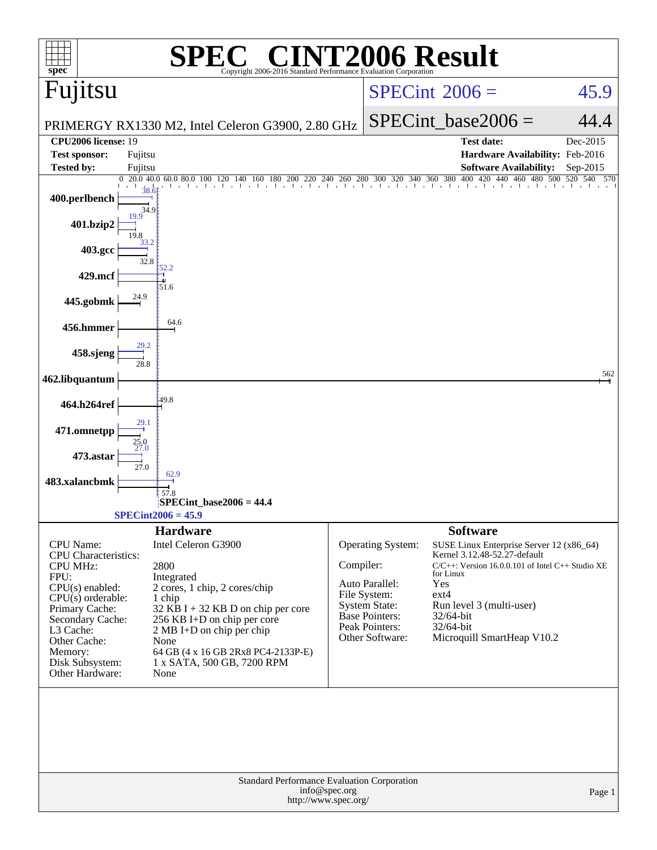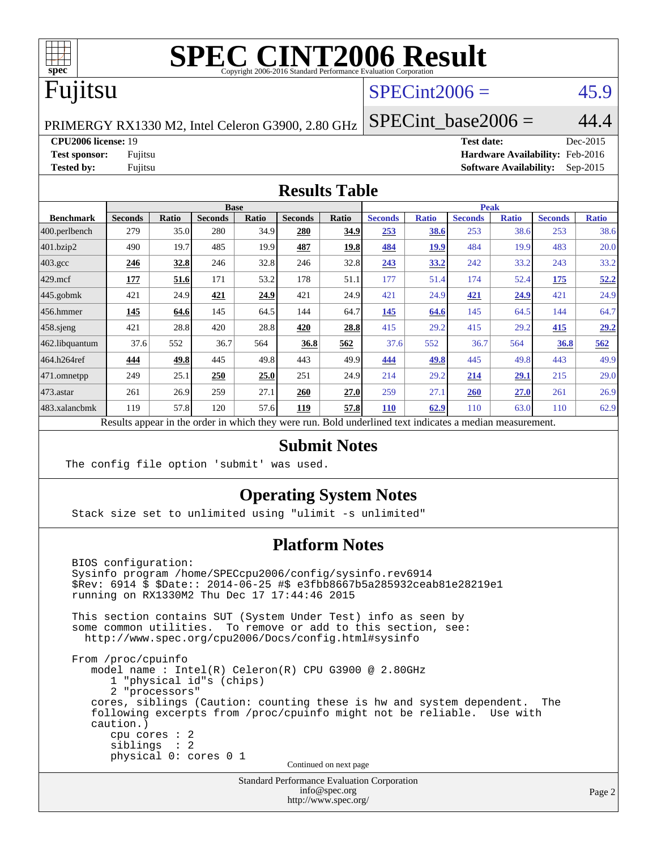

# **[SPEC CINT2006 Result](http://www.spec.org/auto/cpu2006/Docs/result-fields.html#SPECCINT2006Result)**

## Fujitsu

## $SPECint2006 = 45.9$  $SPECint2006 = 45.9$

PRIMERGY RX1330 M2, Intel Celeron G3900, 2.80 GHz

**[CPU2006 license:](http://www.spec.org/auto/cpu2006/Docs/result-fields.html#CPU2006license)** 19 **[Test date:](http://www.spec.org/auto/cpu2006/Docs/result-fields.html#Testdate)** Dec-2015 **[Test sponsor:](http://www.spec.org/auto/cpu2006/Docs/result-fields.html#Testsponsor)** Fujitsu **[Hardware Availability:](http://www.spec.org/auto/cpu2006/Docs/result-fields.html#HardwareAvailability)** Feb-2016 **[Tested by:](http://www.spec.org/auto/cpu2006/Docs/result-fields.html#Testedby)** Fujitsu **[Software Availability:](http://www.spec.org/auto/cpu2006/Docs/result-fields.html#SoftwareAvailability)** Sep-2015

SPECint base2006 =  $44.4$ 

#### **[Results Table](http://www.spec.org/auto/cpu2006/Docs/result-fields.html#ResultsTable)**

|                                                                                                          | <b>Base</b>    |              |                |       | <b>Peak</b>    |             |                |              |                |              |                |              |
|----------------------------------------------------------------------------------------------------------|----------------|--------------|----------------|-------|----------------|-------------|----------------|--------------|----------------|--------------|----------------|--------------|
| <b>Benchmark</b>                                                                                         | <b>Seconds</b> | <b>Ratio</b> | <b>Seconds</b> | Ratio | <b>Seconds</b> | Ratio       | <b>Seconds</b> | <b>Ratio</b> | <b>Seconds</b> | <b>Ratio</b> | <b>Seconds</b> | <b>Ratio</b> |
| 400.perlbench                                                                                            | 279            | 35.0         | 280            | 34.9  | 280            | 34.9        | 253            | 38.6         | 253            | 38.6         | 253            | 38.6         |
| 401.bzip2                                                                                                | 490            | 19.7         | 485            | 19.9  | 487            | <u>19.8</u> | 484            | <u>19.9</u>  | 484            | 19.9         | 483            | 20.0         |
| $403.\mathrm{gcc}$                                                                                       | 246            | 32.8         | 246            | 32.8  | 246            | 32.8        | 243            | 33.2         | 242            | 33.2         | 243            | 33.2         |
| $429$ .mcf                                                                                               | 177            | 51.6         | 171            | 53.2  | 178            | 51.1        | 177            | 51.4         | 174            | 52.4         | 175            | 52.2         |
| $445$ .gobmk                                                                                             | 421            | 24.9         | 421            | 24.9  | 421            | 24.9        | 421            | 24.9         | 421            | 24.9         | 421            | 24.9         |
| 456.hmmer                                                                                                | 145            | 64.6         | 145            | 64.5  | 144            | 64.7        | 145            | 64.6         | 145            | 64.5         | 144            | 64.7         |
| $458$ .sjeng                                                                                             | 421            | 28.8         | 420            | 28.8  | 420            | 28.8        | 415            | 29.2         | 415            | 29.2         | 415            | 29.2         |
| 462.libquantum                                                                                           | 37.6           | 552          | 36.7           | 564   | 36.8           | 562         | 37.6           | 552          | 36.7           | 564          | 36.8           | 562          |
| 464.h264ref                                                                                              | 444            | 49.8         | 445            | 49.8  | 443            | 49.9        | 444            | 49.8         | 445            | 49.8         | 443            | 49.9         |
| 471.omnetpp                                                                                              | 249            | 25.1         | 250            | 25.0  | 251            | 24.9        | 214            | 29.2         | 214            | 29.1         | 215            | 29.0         |
| $473$ . astar                                                                                            | 261            | 26.9         | 259            | 27.1  | 260            | 27.0        | 259            | 27.1         | 260            | 27.0         | 261            | 26.9         |
| 483.xalancbmk                                                                                            | 119            | 57.8         | 120            | 57.6  | 119            | 57.8        | 110            | 62.9         | 110            | 63.0         | 110            | 62.9         |
| Results appear in the order in which they were run. Bold underlined text indicates a median measurement. |                |              |                |       |                |             |                |              |                |              |                |              |

#### **[Submit Notes](http://www.spec.org/auto/cpu2006/Docs/result-fields.html#SubmitNotes)**

The config file option 'submit' was used.

#### **[Operating System Notes](http://www.spec.org/auto/cpu2006/Docs/result-fields.html#OperatingSystemNotes)**

Stack size set to unlimited using "ulimit -s unlimited"

#### **[Platform Notes](http://www.spec.org/auto/cpu2006/Docs/result-fields.html#PlatformNotes)**

 BIOS configuration: Sysinfo program /home/SPECcpu2006/config/sysinfo.rev6914 \$Rev: 6914 \$ \$Date:: 2014-06-25 #\$ e3fbb8667b5a285932ceab81e28219e1 running on RX1330M2 Thu Dec 17 17:44:46 2015 This section contains SUT (System Under Test) info as seen by some common utilities. To remove or add to this section, see: <http://www.spec.org/cpu2006/Docs/config.html#sysinfo> From /proc/cpuinfo model name : Intel(R) Celeron(R) CPU G3900 @ 2.80GHz 1 "physical id"s (chips) 2 "processors" cores, siblings (Caution: counting these is hw and system dependent. The following excerpts from /proc/cpuinfo might not be reliable. Use with caution.) cpu cores : 2 siblings : 2 physical 0: cores 0 1 Continued on next page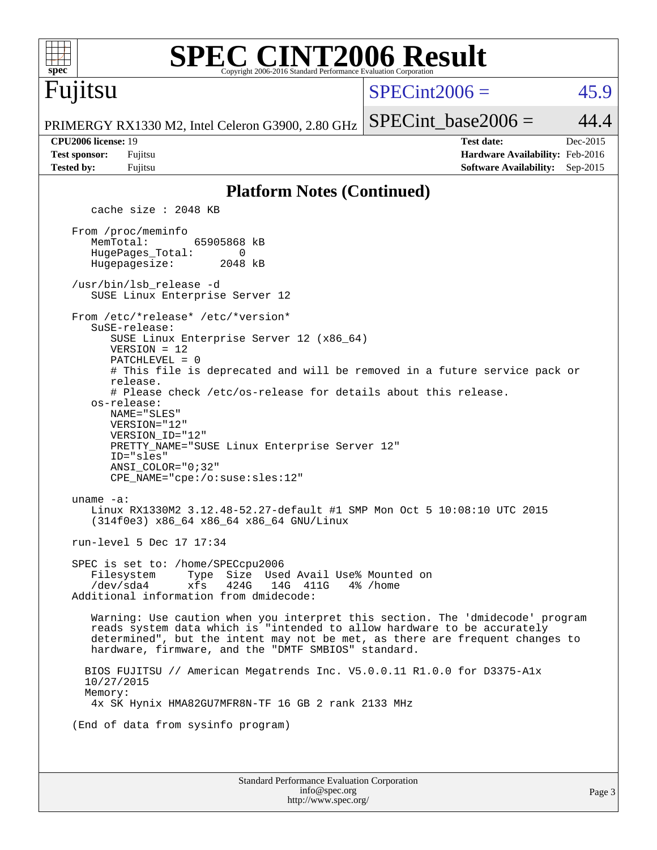| spec                                                             | <b>SPEC CINT2006 Result</b><br>Copyright 2006-2016 Standard Performance Evaluation Corporation                                                                                                                                                                                                                                                                                                                                                                                                                                                                                                                       |                 |                                                                                       |                        |
|------------------------------------------------------------------|----------------------------------------------------------------------------------------------------------------------------------------------------------------------------------------------------------------------------------------------------------------------------------------------------------------------------------------------------------------------------------------------------------------------------------------------------------------------------------------------------------------------------------------------------------------------------------------------------------------------|-----------------|---------------------------------------------------------------------------------------|------------------------|
| Fujitsu                                                          |                                                                                                                                                                                                                                                                                                                                                                                                                                                                                                                                                                                                                      | $SPECint2006 =$ |                                                                                       | 45.9                   |
|                                                                  | PRIMERGY RX1330 M2, Intel Celeron G3900, 2.80 GHz                                                                                                                                                                                                                                                                                                                                                                                                                                                                                                                                                                    |                 | $SPECint base2006 =$                                                                  | 44.4                   |
| CPU2006 license: 19<br><b>Test sponsor:</b><br><b>Tested by:</b> | Fujitsu<br>Fujitsu                                                                                                                                                                                                                                                                                                                                                                                                                                                                                                                                                                                                   |                 | <b>Test date:</b><br>Hardware Availability: Feb-2016<br><b>Software Availability:</b> | Dec-2015<br>$Sep-2015$ |
|                                                                  | <b>Platform Notes (Continued)</b>                                                                                                                                                                                                                                                                                                                                                                                                                                                                                                                                                                                    |                 |                                                                                       |                        |
|                                                                  | cache size : 2048 KB                                                                                                                                                                                                                                                                                                                                                                                                                                                                                                                                                                                                 |                 |                                                                                       |                        |
| MemTotal:                                                        | From /proc/meminfo<br>65905868 kB<br>HugePages_Total:<br>0<br>Hugepagesize:<br>2048 kB<br>/usr/bin/lsb release -d                                                                                                                                                                                                                                                                                                                                                                                                                                                                                                    |                 |                                                                                       |                        |
|                                                                  | SUSE Linux Enterprise Server 12                                                                                                                                                                                                                                                                                                                                                                                                                                                                                                                                                                                      |                 |                                                                                       |                        |
| uname $-a$ :                                                     | From /etc/*release* /etc/*version*<br>SuSE-release:<br>SUSE Linux Enterprise Server 12 (x86_64)<br>$VERSION = 12$<br>PATCHLEVEL = 0<br># This file is deprecated and will be removed in a future service pack or<br>release.<br># Please check /etc/os-release for details about this release.<br>os-release:<br>NAME="SLES"<br>VERSION="12"<br>VERSION_ID="12"<br>PRETTY_NAME="SUSE Linux Enterprise Server 12"<br>ID="sles"<br>$ANSI$ _COLOR=" $0:32$ "<br>CPE_NAME="cpe:/o:suse:sles:12"<br>Linux RX1330M2 3.12.48-52.27-default #1 SMP Mon Oct 5 10:08:10 UTC 2015<br>$(314f0e3)$ x86_64 x86_64 x86_64 GNU/Linux |                 |                                                                                       |                        |
|                                                                  | run-level 5 Dec 17 17:34                                                                                                                                                                                                                                                                                                                                                                                                                                                                                                                                                                                             |                 |                                                                                       |                        |
|                                                                  | SPEC is set to: /home/SPECcpu2006<br>Filesystem<br>Type Size Used Avail Use% Mounted on<br>/dev/sda4<br>xfs<br>424G<br>14G 411G<br>Additional information from dmidecode:                                                                                                                                                                                                                                                                                                                                                                                                                                            | 4% /home        |                                                                                       |                        |
|                                                                  | Warning: Use caution when you interpret this section. The 'dmidecode' program<br>reads system data which is "intended to allow hardware to be accurately<br>determined", but the intent may not be met, as there are frequent changes to<br>hardware, firmware, and the "DMTF SMBIOS" standard.                                                                                                                                                                                                                                                                                                                      |                 |                                                                                       |                        |
| 10/27/2015<br>Memory:                                            | BIOS FUJITSU // American Megatrends Inc. V5.0.0.11 R1.0.0 for D3375-Alx<br>4x SK Hynix HMA82GU7MFR8N-TF 16 GB 2 rank 2133 MHz                                                                                                                                                                                                                                                                                                                                                                                                                                                                                        |                 |                                                                                       |                        |
|                                                                  | (End of data from sysinfo program)                                                                                                                                                                                                                                                                                                                                                                                                                                                                                                                                                                                   |                 |                                                                                       |                        |
|                                                                  |                                                                                                                                                                                                                                                                                                                                                                                                                                                                                                                                                                                                                      |                 |                                                                                       |                        |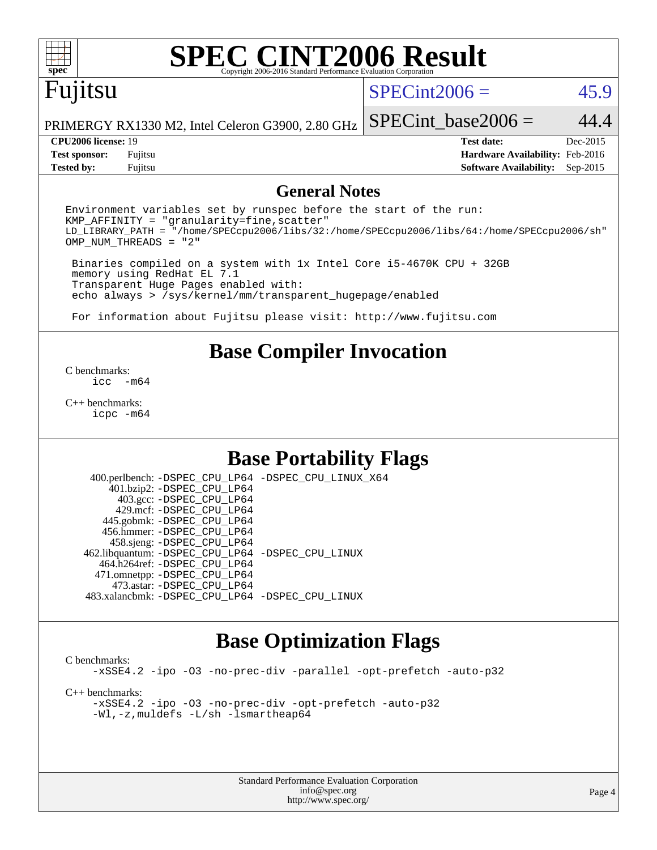# **[SPEC CINT2006 Result](http://www.spec.org/auto/cpu2006/Docs/result-fields.html#SPECCINT2006Result)**

# Fujitsu

#### $SPECint2006 = 45.9$  $SPECint2006 = 45.9$

SPECint base2006 =  $44.4$ 

PRIMERGY RX1330 M2, Intel Celeron G3900, 2.80 GHz

**[Tested by:](http://www.spec.org/auto/cpu2006/Docs/result-fields.html#Testedby)** Fujitsu **[Software Availability:](http://www.spec.org/auto/cpu2006/Docs/result-fields.html#SoftwareAvailability)** Sep-2015

**[CPU2006 license:](http://www.spec.org/auto/cpu2006/Docs/result-fields.html#CPU2006license)** 19 **[Test date:](http://www.spec.org/auto/cpu2006/Docs/result-fields.html#Testdate)** Dec-2015 **[Test sponsor:](http://www.spec.org/auto/cpu2006/Docs/result-fields.html#Testsponsor)** Fujitsu **[Hardware Availability:](http://www.spec.org/auto/cpu2006/Docs/result-fields.html#HardwareAvailability)** Feb-2016

#### **[General Notes](http://www.spec.org/auto/cpu2006/Docs/result-fields.html#GeneralNotes)**

Environment variables set by runspec before the start of the run:  $KMP$  AFFINITY = "granularity=fine, scatter" LD\_LIBRARY\_PATH = "/home/SPECcpu2006/libs/32:/home/SPECcpu2006/libs/64:/home/SPECcpu2006/sh" OMP\_NUM\_THREADS = "2"

 Binaries compiled on a system with 1x Intel Core i5-4670K CPU + 32GB memory using RedHat EL 7.1 Transparent Huge Pages enabled with: echo always > /sys/kernel/mm/transparent\_hugepage/enabled

For information about Fujitsu please visit: <http://www.fujitsu.com>

#### **[Base Compiler Invocation](http://www.spec.org/auto/cpu2006/Docs/result-fields.html#BaseCompilerInvocation)**

[C benchmarks](http://www.spec.org/auto/cpu2006/Docs/result-fields.html#Cbenchmarks):  $inc - m64$ 

[C++ benchmarks:](http://www.spec.org/auto/cpu2006/Docs/result-fields.html#CXXbenchmarks) [icpc -m64](http://www.spec.org/cpu2006/results/res2016q1/cpu2006-20160111-38681.flags.html#user_CXXbase_intel_icpc_64bit_fc66a5337ce925472a5c54ad6a0de310)

### **[Base Portability Flags](http://www.spec.org/auto/cpu2006/Docs/result-fields.html#BasePortabilityFlags)**

 400.perlbench: [-DSPEC\\_CPU\\_LP64](http://www.spec.org/cpu2006/results/res2016q1/cpu2006-20160111-38681.flags.html#b400.perlbench_basePORTABILITY_DSPEC_CPU_LP64) [-DSPEC\\_CPU\\_LINUX\\_X64](http://www.spec.org/cpu2006/results/res2016q1/cpu2006-20160111-38681.flags.html#b400.perlbench_baseCPORTABILITY_DSPEC_CPU_LINUX_X64) 401.bzip2: [-DSPEC\\_CPU\\_LP64](http://www.spec.org/cpu2006/results/res2016q1/cpu2006-20160111-38681.flags.html#suite_basePORTABILITY401_bzip2_DSPEC_CPU_LP64) 403.gcc: [-DSPEC\\_CPU\\_LP64](http://www.spec.org/cpu2006/results/res2016q1/cpu2006-20160111-38681.flags.html#suite_basePORTABILITY403_gcc_DSPEC_CPU_LP64) 429.mcf: [-DSPEC\\_CPU\\_LP64](http://www.spec.org/cpu2006/results/res2016q1/cpu2006-20160111-38681.flags.html#suite_basePORTABILITY429_mcf_DSPEC_CPU_LP64) 445.gobmk: [-DSPEC\\_CPU\\_LP64](http://www.spec.org/cpu2006/results/res2016q1/cpu2006-20160111-38681.flags.html#suite_basePORTABILITY445_gobmk_DSPEC_CPU_LP64) 456.hmmer: [-DSPEC\\_CPU\\_LP64](http://www.spec.org/cpu2006/results/res2016q1/cpu2006-20160111-38681.flags.html#suite_basePORTABILITY456_hmmer_DSPEC_CPU_LP64) 458.sjeng: [-DSPEC\\_CPU\\_LP64](http://www.spec.org/cpu2006/results/res2016q1/cpu2006-20160111-38681.flags.html#suite_basePORTABILITY458_sjeng_DSPEC_CPU_LP64) 462.libquantum: [-DSPEC\\_CPU\\_LP64](http://www.spec.org/cpu2006/results/res2016q1/cpu2006-20160111-38681.flags.html#suite_basePORTABILITY462_libquantum_DSPEC_CPU_LP64) [-DSPEC\\_CPU\\_LINUX](http://www.spec.org/cpu2006/results/res2016q1/cpu2006-20160111-38681.flags.html#b462.libquantum_baseCPORTABILITY_DSPEC_CPU_LINUX) 464.h264ref: [-DSPEC\\_CPU\\_LP64](http://www.spec.org/cpu2006/results/res2016q1/cpu2006-20160111-38681.flags.html#suite_basePORTABILITY464_h264ref_DSPEC_CPU_LP64) 471.omnetpp: [-DSPEC\\_CPU\\_LP64](http://www.spec.org/cpu2006/results/res2016q1/cpu2006-20160111-38681.flags.html#suite_basePORTABILITY471_omnetpp_DSPEC_CPU_LP64) 473.astar: [-DSPEC\\_CPU\\_LP64](http://www.spec.org/cpu2006/results/res2016q1/cpu2006-20160111-38681.flags.html#suite_basePORTABILITY473_astar_DSPEC_CPU_LP64) 483.xalancbmk: [-DSPEC\\_CPU\\_LP64](http://www.spec.org/cpu2006/results/res2016q1/cpu2006-20160111-38681.flags.html#suite_basePORTABILITY483_xalancbmk_DSPEC_CPU_LP64) [-DSPEC\\_CPU\\_LINUX](http://www.spec.org/cpu2006/results/res2016q1/cpu2006-20160111-38681.flags.html#b483.xalancbmk_baseCXXPORTABILITY_DSPEC_CPU_LINUX)

#### **[Base Optimization Flags](http://www.spec.org/auto/cpu2006/Docs/result-fields.html#BaseOptimizationFlags)**

[C benchmarks](http://www.spec.org/auto/cpu2006/Docs/result-fields.html#Cbenchmarks): [-xSSE4.2](http://www.spec.org/cpu2006/results/res2016q1/cpu2006-20160111-38681.flags.html#user_CCbase_f-xSSE42_f91528193cf0b216347adb8b939d4107) [-ipo](http://www.spec.org/cpu2006/results/res2016q1/cpu2006-20160111-38681.flags.html#user_CCbase_f-ipo) [-O3](http://www.spec.org/cpu2006/results/res2016q1/cpu2006-20160111-38681.flags.html#user_CCbase_f-O3) [-no-prec-div](http://www.spec.org/cpu2006/results/res2016q1/cpu2006-20160111-38681.flags.html#user_CCbase_f-no-prec-div) [-parallel](http://www.spec.org/cpu2006/results/res2016q1/cpu2006-20160111-38681.flags.html#user_CCbase_f-parallel) [-opt-prefetch](http://www.spec.org/cpu2006/results/res2016q1/cpu2006-20160111-38681.flags.html#user_CCbase_f-opt-prefetch) [-auto-p32](http://www.spec.org/cpu2006/results/res2016q1/cpu2006-20160111-38681.flags.html#user_CCbase_f-auto-p32) [C++ benchmarks:](http://www.spec.org/auto/cpu2006/Docs/result-fields.html#CXXbenchmarks) [-xSSE4.2](http://www.spec.org/cpu2006/results/res2016q1/cpu2006-20160111-38681.flags.html#user_CXXbase_f-xSSE42_f91528193cf0b216347adb8b939d4107) [-ipo](http://www.spec.org/cpu2006/results/res2016q1/cpu2006-20160111-38681.flags.html#user_CXXbase_f-ipo) [-O3](http://www.spec.org/cpu2006/results/res2016q1/cpu2006-20160111-38681.flags.html#user_CXXbase_f-O3) [-no-prec-div](http://www.spec.org/cpu2006/results/res2016q1/cpu2006-20160111-38681.flags.html#user_CXXbase_f-no-prec-div) [-opt-prefetch](http://www.spec.org/cpu2006/results/res2016q1/cpu2006-20160111-38681.flags.html#user_CXXbase_f-opt-prefetch) [-auto-p32](http://www.spec.org/cpu2006/results/res2016q1/cpu2006-20160111-38681.flags.html#user_CXXbase_f-auto-p32) [-Wl,-z,muldefs](http://www.spec.org/cpu2006/results/res2016q1/cpu2006-20160111-38681.flags.html#user_CXXbase_link_force_multiple1_74079c344b956b9658436fd1b6dd3a8a) [-L/sh -lsmartheap64](http://www.spec.org/cpu2006/results/res2016q1/cpu2006-20160111-38681.flags.html#user_CXXbase_SmartHeap64_ed4ef857ce90951921efb0d91eb88472)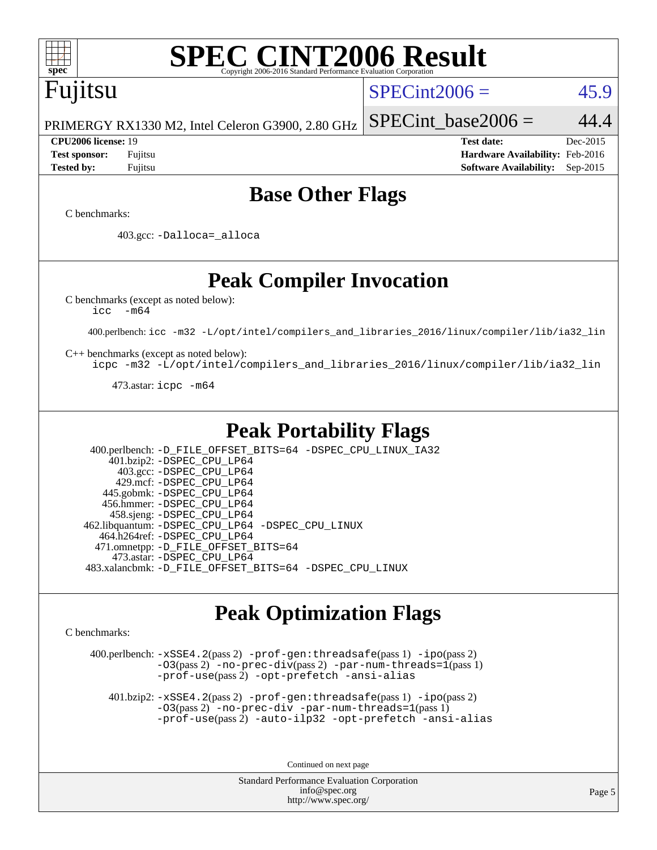

# **[SPEC CINT2006 Result](http://www.spec.org/auto/cpu2006/Docs/result-fields.html#SPECCINT2006Result)**

# Fujitsu

#### $SPECint2006 = 45.9$  $SPECint2006 = 45.9$

PRIMERGY RX1330 M2, Intel Celeron G3900, 2.80 GHz

SPECint base2006 =  $44.4$ 

**[CPU2006 license:](http://www.spec.org/auto/cpu2006/Docs/result-fields.html#CPU2006license)** 19 **[Test date:](http://www.spec.org/auto/cpu2006/Docs/result-fields.html#Testdate)** Dec-2015 **[Test sponsor:](http://www.spec.org/auto/cpu2006/Docs/result-fields.html#Testsponsor)** Fujitsu **[Hardware Availability:](http://www.spec.org/auto/cpu2006/Docs/result-fields.html#HardwareAvailability)** Feb-2016 **[Tested by:](http://www.spec.org/auto/cpu2006/Docs/result-fields.html#Testedby)** Fujitsu **[Software Availability:](http://www.spec.org/auto/cpu2006/Docs/result-fields.html#SoftwareAvailability)** Sep-2015

### **[Base Other Flags](http://www.spec.org/auto/cpu2006/Docs/result-fields.html#BaseOtherFlags)**

[C benchmarks](http://www.spec.org/auto/cpu2006/Docs/result-fields.html#Cbenchmarks):

403.gcc: [-Dalloca=\\_alloca](http://www.spec.org/cpu2006/results/res2016q1/cpu2006-20160111-38681.flags.html#b403.gcc_baseEXTRA_CFLAGS_Dalloca_be3056838c12de2578596ca5467af7f3)

### **[Peak Compiler Invocation](http://www.spec.org/auto/cpu2006/Docs/result-fields.html#PeakCompilerInvocation)**

[C benchmarks \(except as noted below\)](http://www.spec.org/auto/cpu2006/Docs/result-fields.html#Cbenchmarksexceptasnotedbelow):

[icc -m64](http://www.spec.org/cpu2006/results/res2016q1/cpu2006-20160111-38681.flags.html#user_CCpeak_intel_icc_64bit_f346026e86af2a669e726fe758c88044)

400.perlbench: [icc -m32 -L/opt/intel/compilers\\_and\\_libraries\\_2016/linux/compiler/lib/ia32\\_lin](http://www.spec.org/cpu2006/results/res2016q1/cpu2006-20160111-38681.flags.html#user_peakCCLD400_perlbench_intel_icc_e10256ba5924b668798078a321b0cb3f)

[C++ benchmarks \(except as noted below\):](http://www.spec.org/auto/cpu2006/Docs/result-fields.html#CXXbenchmarksexceptasnotedbelow)

[icpc -m32 -L/opt/intel/compilers\\_and\\_libraries\\_2016/linux/compiler/lib/ia32\\_lin](http://www.spec.org/cpu2006/results/res2016q1/cpu2006-20160111-38681.flags.html#user_CXXpeak_intel_icpc_b4f50a394bdb4597aa5879c16bc3f5c5)

473.astar: [icpc -m64](http://www.spec.org/cpu2006/results/res2016q1/cpu2006-20160111-38681.flags.html#user_peakCXXLD473_astar_intel_icpc_64bit_fc66a5337ce925472a5c54ad6a0de310)

#### **[Peak Portability Flags](http://www.spec.org/auto/cpu2006/Docs/result-fields.html#PeakPortabilityFlags)**

 400.perlbench: [-D\\_FILE\\_OFFSET\\_BITS=64](http://www.spec.org/cpu2006/results/res2016q1/cpu2006-20160111-38681.flags.html#user_peakPORTABILITY400_perlbench_file_offset_bits_64_438cf9856305ebd76870a2c6dc2689ab) [-DSPEC\\_CPU\\_LINUX\\_IA32](http://www.spec.org/cpu2006/results/res2016q1/cpu2006-20160111-38681.flags.html#b400.perlbench_peakCPORTABILITY_DSPEC_CPU_LINUX_IA32) 401.bzip2: [-DSPEC\\_CPU\\_LP64](http://www.spec.org/cpu2006/results/res2016q1/cpu2006-20160111-38681.flags.html#suite_peakPORTABILITY401_bzip2_DSPEC_CPU_LP64) 403.gcc: [-DSPEC\\_CPU\\_LP64](http://www.spec.org/cpu2006/results/res2016q1/cpu2006-20160111-38681.flags.html#suite_peakPORTABILITY403_gcc_DSPEC_CPU_LP64) 429.mcf: [-DSPEC\\_CPU\\_LP64](http://www.spec.org/cpu2006/results/res2016q1/cpu2006-20160111-38681.flags.html#suite_peakPORTABILITY429_mcf_DSPEC_CPU_LP64) 445.gobmk: [-DSPEC\\_CPU\\_LP64](http://www.spec.org/cpu2006/results/res2016q1/cpu2006-20160111-38681.flags.html#suite_peakPORTABILITY445_gobmk_DSPEC_CPU_LP64) 456.hmmer: [-DSPEC\\_CPU\\_LP64](http://www.spec.org/cpu2006/results/res2016q1/cpu2006-20160111-38681.flags.html#suite_peakPORTABILITY456_hmmer_DSPEC_CPU_LP64) 458.sjeng: [-DSPEC\\_CPU\\_LP64](http://www.spec.org/cpu2006/results/res2016q1/cpu2006-20160111-38681.flags.html#suite_peakPORTABILITY458_sjeng_DSPEC_CPU_LP64) 462.libquantum: [-DSPEC\\_CPU\\_LP64](http://www.spec.org/cpu2006/results/res2016q1/cpu2006-20160111-38681.flags.html#suite_peakPORTABILITY462_libquantum_DSPEC_CPU_LP64) [-DSPEC\\_CPU\\_LINUX](http://www.spec.org/cpu2006/results/res2016q1/cpu2006-20160111-38681.flags.html#b462.libquantum_peakCPORTABILITY_DSPEC_CPU_LINUX) 464.h264ref: [-DSPEC\\_CPU\\_LP64](http://www.spec.org/cpu2006/results/res2016q1/cpu2006-20160111-38681.flags.html#suite_peakPORTABILITY464_h264ref_DSPEC_CPU_LP64) 471.omnetpp: [-D\\_FILE\\_OFFSET\\_BITS=64](http://www.spec.org/cpu2006/results/res2016q1/cpu2006-20160111-38681.flags.html#user_peakPORTABILITY471_omnetpp_file_offset_bits_64_438cf9856305ebd76870a2c6dc2689ab) 473.astar: [-DSPEC\\_CPU\\_LP64](http://www.spec.org/cpu2006/results/res2016q1/cpu2006-20160111-38681.flags.html#suite_peakPORTABILITY473_astar_DSPEC_CPU_LP64) 483.xalancbmk: [-D\\_FILE\\_OFFSET\\_BITS=64](http://www.spec.org/cpu2006/results/res2016q1/cpu2006-20160111-38681.flags.html#user_peakPORTABILITY483_xalancbmk_file_offset_bits_64_438cf9856305ebd76870a2c6dc2689ab) [-DSPEC\\_CPU\\_LINUX](http://www.spec.org/cpu2006/results/res2016q1/cpu2006-20160111-38681.flags.html#b483.xalancbmk_peakCXXPORTABILITY_DSPEC_CPU_LINUX)

## **[Peak Optimization Flags](http://www.spec.org/auto/cpu2006/Docs/result-fields.html#PeakOptimizationFlags)**

[C benchmarks](http://www.spec.org/auto/cpu2006/Docs/result-fields.html#Cbenchmarks):

 400.perlbench: [-xSSE4.2](http://www.spec.org/cpu2006/results/res2016q1/cpu2006-20160111-38681.flags.html#user_peakPASS2_CFLAGSPASS2_LDCFLAGS400_perlbench_f-xSSE42_f91528193cf0b216347adb8b939d4107)(pass 2) [-prof-gen:threadsafe](http://www.spec.org/cpu2006/results/res2016q1/cpu2006-20160111-38681.flags.html#user_peakPASS1_CFLAGSPASS1_LDCFLAGS400_perlbench_prof_gen_21a26eb79f378b550acd7bec9fe4467a)(pass 1) [-ipo](http://www.spec.org/cpu2006/results/res2016q1/cpu2006-20160111-38681.flags.html#user_peakPASS2_CFLAGSPASS2_LDCFLAGS400_perlbench_f-ipo)(pass 2) [-O3](http://www.spec.org/cpu2006/results/res2016q1/cpu2006-20160111-38681.flags.html#user_peakPASS2_CFLAGSPASS2_LDCFLAGS400_perlbench_f-O3)(pass 2) [-no-prec-div](http://www.spec.org/cpu2006/results/res2016q1/cpu2006-20160111-38681.flags.html#user_peakPASS2_CFLAGSPASS2_LDCFLAGS400_perlbench_f-no-prec-div)(pass 2) [-par-num-threads=1](http://www.spec.org/cpu2006/results/res2016q1/cpu2006-20160111-38681.flags.html#user_peakPASS1_CFLAGSPASS1_LDCFLAGS400_perlbench_par_num_threads_786a6ff141b4e9e90432e998842df6c2)(pass 1) [-prof-use](http://www.spec.org/cpu2006/results/res2016q1/cpu2006-20160111-38681.flags.html#user_peakPASS2_CFLAGSPASS2_LDCFLAGS400_perlbench_prof_use_bccf7792157ff70d64e32fe3e1250b55)(pass 2) [-opt-prefetch](http://www.spec.org/cpu2006/results/res2016q1/cpu2006-20160111-38681.flags.html#user_peakCOPTIMIZE400_perlbench_f-opt-prefetch) [-ansi-alias](http://www.spec.org/cpu2006/results/res2016q1/cpu2006-20160111-38681.flags.html#user_peakCOPTIMIZE400_perlbench_f-ansi-alias)

 401.bzip2: [-xSSE4.2](http://www.spec.org/cpu2006/results/res2016q1/cpu2006-20160111-38681.flags.html#user_peakPASS2_CFLAGSPASS2_LDCFLAGS401_bzip2_f-xSSE42_f91528193cf0b216347adb8b939d4107)(pass 2) [-prof-gen:threadsafe](http://www.spec.org/cpu2006/results/res2016q1/cpu2006-20160111-38681.flags.html#user_peakPASS1_CFLAGSPASS1_LDCFLAGS401_bzip2_prof_gen_21a26eb79f378b550acd7bec9fe4467a)(pass 1) [-ipo](http://www.spec.org/cpu2006/results/res2016q1/cpu2006-20160111-38681.flags.html#user_peakPASS2_CFLAGSPASS2_LDCFLAGS401_bzip2_f-ipo)(pass 2) [-O3](http://www.spec.org/cpu2006/results/res2016q1/cpu2006-20160111-38681.flags.html#user_peakPASS2_CFLAGSPASS2_LDCFLAGS401_bzip2_f-O3)(pass 2) [-no-prec-div](http://www.spec.org/cpu2006/results/res2016q1/cpu2006-20160111-38681.flags.html#user_peakCOPTIMIZEPASS2_CFLAGSPASS2_LDCFLAGS401_bzip2_f-no-prec-div) [-par-num-threads=1](http://www.spec.org/cpu2006/results/res2016q1/cpu2006-20160111-38681.flags.html#user_peakPASS1_CFLAGSPASS1_LDCFLAGS401_bzip2_par_num_threads_786a6ff141b4e9e90432e998842df6c2)(pass 1) [-prof-use](http://www.spec.org/cpu2006/results/res2016q1/cpu2006-20160111-38681.flags.html#user_peakPASS2_CFLAGSPASS2_LDCFLAGS401_bzip2_prof_use_bccf7792157ff70d64e32fe3e1250b55)(pass 2) [-auto-ilp32](http://www.spec.org/cpu2006/results/res2016q1/cpu2006-20160111-38681.flags.html#user_peakCOPTIMIZE401_bzip2_f-auto-ilp32) [-opt-prefetch](http://www.spec.org/cpu2006/results/res2016q1/cpu2006-20160111-38681.flags.html#user_peakCOPTIMIZE401_bzip2_f-opt-prefetch) [-ansi-alias](http://www.spec.org/cpu2006/results/res2016q1/cpu2006-20160111-38681.flags.html#user_peakCOPTIMIZE401_bzip2_f-ansi-alias)

Continued on next page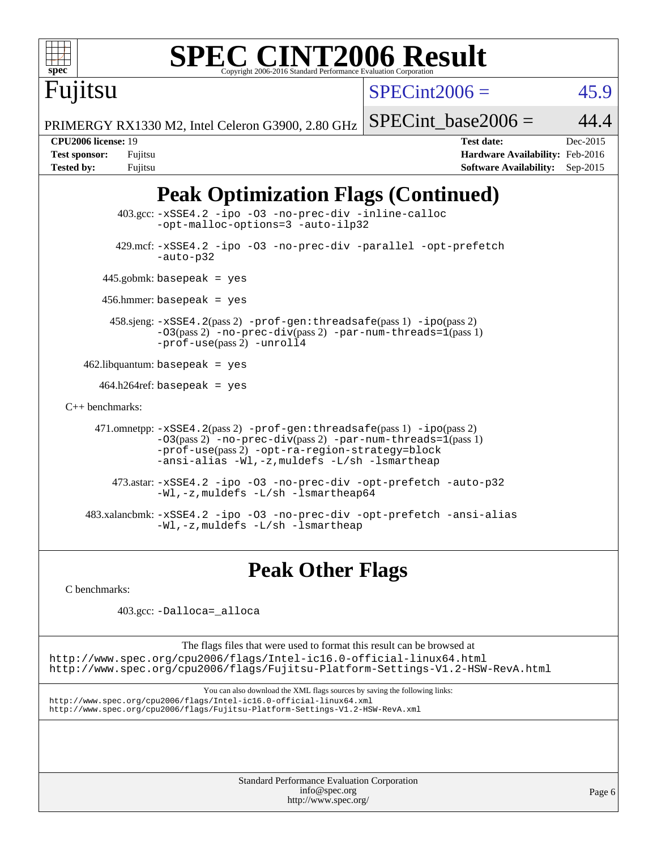| $spec^*$ | <b>SPEC CINT2006 Result</b><br>Copyright 2006-2016 Standard Performance Evaluation Corporation |
|----------|------------------------------------------------------------------------------------------------|
| Fujitsu  | $\text{SPECint}$ 2006 =                                                                        |
|          | PRIMERGY RX1330 M2. Intel Celeron G3900, 2.80 GHz $\vert$ SPECint base2                        |

 $\int \frac{\sin(2006)}{5}$  = 45.9

PRIMERGY RX1330 M2, Intel Celeron G3900, 2.80 GHz

int base2006 = 44.4

**[CPU2006 license:](http://www.spec.org/auto/cpu2006/Docs/result-fields.html#CPU2006license)** 19 **[Test date:](http://www.spec.org/auto/cpu2006/Docs/result-fields.html#Testdate)** Dec-2015 **[Test sponsor:](http://www.spec.org/auto/cpu2006/Docs/result-fields.html#Testsponsor)** Fujitsu **[Hardware Availability:](http://www.spec.org/auto/cpu2006/Docs/result-fields.html#HardwareAvailability)** Feb-2016 **[Tested by:](http://www.spec.org/auto/cpu2006/Docs/result-fields.html#Testedby)** Fujitsu **[Software Availability:](http://www.spec.org/auto/cpu2006/Docs/result-fields.html#SoftwareAvailability)** Sep-2015

### **[Peak Optimization Flags \(Continued\)](http://www.spec.org/auto/cpu2006/Docs/result-fields.html#PeakOptimizationFlags)**

 403.gcc: [-xSSE4.2](http://www.spec.org/cpu2006/results/res2016q1/cpu2006-20160111-38681.flags.html#user_peakCOPTIMIZE403_gcc_f-xSSE42_f91528193cf0b216347adb8b939d4107) [-ipo](http://www.spec.org/cpu2006/results/res2016q1/cpu2006-20160111-38681.flags.html#user_peakCOPTIMIZE403_gcc_f-ipo) [-O3](http://www.spec.org/cpu2006/results/res2016q1/cpu2006-20160111-38681.flags.html#user_peakCOPTIMIZE403_gcc_f-O3) [-no-prec-div](http://www.spec.org/cpu2006/results/res2016q1/cpu2006-20160111-38681.flags.html#user_peakCOPTIMIZE403_gcc_f-no-prec-div) [-inline-calloc](http://www.spec.org/cpu2006/results/res2016q1/cpu2006-20160111-38681.flags.html#user_peakCOPTIMIZE403_gcc_f-inline-calloc) [-opt-malloc-options=3](http://www.spec.org/cpu2006/results/res2016q1/cpu2006-20160111-38681.flags.html#user_peakCOPTIMIZE403_gcc_f-opt-malloc-options_13ab9b803cf986b4ee62f0a5998c2238) [-auto-ilp32](http://www.spec.org/cpu2006/results/res2016q1/cpu2006-20160111-38681.flags.html#user_peakCOPTIMIZE403_gcc_f-auto-ilp32) 429.mcf: [-xSSE4.2](http://www.spec.org/cpu2006/results/res2016q1/cpu2006-20160111-38681.flags.html#user_peakCOPTIMIZE429_mcf_f-xSSE42_f91528193cf0b216347adb8b939d4107) [-ipo](http://www.spec.org/cpu2006/results/res2016q1/cpu2006-20160111-38681.flags.html#user_peakCOPTIMIZE429_mcf_f-ipo) [-O3](http://www.spec.org/cpu2006/results/res2016q1/cpu2006-20160111-38681.flags.html#user_peakCOPTIMIZE429_mcf_f-O3) [-no-prec-div](http://www.spec.org/cpu2006/results/res2016q1/cpu2006-20160111-38681.flags.html#user_peakCOPTIMIZE429_mcf_f-no-prec-div) [-parallel](http://www.spec.org/cpu2006/results/res2016q1/cpu2006-20160111-38681.flags.html#user_peakCOPTIMIZE429_mcf_f-parallel) [-opt-prefetch](http://www.spec.org/cpu2006/results/res2016q1/cpu2006-20160111-38681.flags.html#user_peakCOPTIMIZE429_mcf_f-opt-prefetch) [-auto-p32](http://www.spec.org/cpu2006/results/res2016q1/cpu2006-20160111-38681.flags.html#user_peakCOPTIMIZE429_mcf_f-auto-p32) 445.gobmk: basepeak = yes 456.hmmer: basepeak = yes 458.sjeng: [-xSSE4.2](http://www.spec.org/cpu2006/results/res2016q1/cpu2006-20160111-38681.flags.html#user_peakPASS2_CFLAGSPASS2_LDCFLAGS458_sjeng_f-xSSE42_f91528193cf0b216347adb8b939d4107)(pass 2) [-prof-gen:threadsafe](http://www.spec.org/cpu2006/results/res2016q1/cpu2006-20160111-38681.flags.html#user_peakPASS1_CFLAGSPASS1_LDCFLAGS458_sjeng_prof_gen_21a26eb79f378b550acd7bec9fe4467a)(pass 1) [-ipo](http://www.spec.org/cpu2006/results/res2016q1/cpu2006-20160111-38681.flags.html#user_peakPASS2_CFLAGSPASS2_LDCFLAGS458_sjeng_f-ipo)(pass 2)  $-03(pass 2)$  [-no-prec-div](http://www.spec.org/cpu2006/results/res2016q1/cpu2006-20160111-38681.flags.html#user_peakPASS2_CFLAGSPASS2_LDCFLAGS458_sjeng_f-no-prec-div)(pass 2) [-par-num-threads=1](http://www.spec.org/cpu2006/results/res2016q1/cpu2006-20160111-38681.flags.html#user_peakPASS1_CFLAGSPASS1_LDCFLAGS458_sjeng_par_num_threads_786a6ff141b4e9e90432e998842df6c2)(pass 1) [-prof-use](http://www.spec.org/cpu2006/results/res2016q1/cpu2006-20160111-38681.flags.html#user_peakPASS2_CFLAGSPASS2_LDCFLAGS458_sjeng_prof_use_bccf7792157ff70d64e32fe3e1250b55)(pass 2) [-unroll4](http://www.spec.org/cpu2006/results/res2016q1/cpu2006-20160111-38681.flags.html#user_peakCOPTIMIZE458_sjeng_f-unroll_4e5e4ed65b7fd20bdcd365bec371b81f) 462.libquantum: basepeak = yes  $464.h264$ ref: basepeak = yes [C++ benchmarks:](http://www.spec.org/auto/cpu2006/Docs/result-fields.html#CXXbenchmarks) 471.omnetpp: [-xSSE4.2](http://www.spec.org/cpu2006/results/res2016q1/cpu2006-20160111-38681.flags.html#user_peakPASS2_CXXFLAGSPASS2_LDCXXFLAGS471_omnetpp_f-xSSE42_f91528193cf0b216347adb8b939d4107)(pass 2) [-prof-gen:threadsafe](http://www.spec.org/cpu2006/results/res2016q1/cpu2006-20160111-38681.flags.html#user_peakPASS1_CXXFLAGSPASS1_LDCXXFLAGS471_omnetpp_prof_gen_21a26eb79f378b550acd7bec9fe4467a)(pass 1) [-ipo](http://www.spec.org/cpu2006/results/res2016q1/cpu2006-20160111-38681.flags.html#user_peakPASS2_CXXFLAGSPASS2_LDCXXFLAGS471_omnetpp_f-ipo)(pass 2)  $-03$ (pass 2)  $-$ no-prec-div(pass 2) [-par-num-threads=1](http://www.spec.org/cpu2006/results/res2016q1/cpu2006-20160111-38681.flags.html#user_peakPASS1_CXXFLAGSPASS1_LDCXXFLAGS471_omnetpp_par_num_threads_786a6ff141b4e9e90432e998842df6c2)(pass 1) [-prof-use](http://www.spec.org/cpu2006/results/res2016q1/cpu2006-20160111-38681.flags.html#user_peakPASS2_CXXFLAGSPASS2_LDCXXFLAGS471_omnetpp_prof_use_bccf7792157ff70d64e32fe3e1250b55)(pass 2) [-opt-ra-region-strategy=block](http://www.spec.org/cpu2006/results/res2016q1/cpu2006-20160111-38681.flags.html#user_peakCXXOPTIMIZE471_omnetpp_f-opt-ra-region-strategy_5382940c29ea30302d682fc74bfe0147)  [-ansi-alias](http://www.spec.org/cpu2006/results/res2016q1/cpu2006-20160111-38681.flags.html#user_peakCXXOPTIMIZE471_omnetpp_f-ansi-alias) [-Wl,-z,muldefs](http://www.spec.org/cpu2006/results/res2016q1/cpu2006-20160111-38681.flags.html#user_peakEXTRA_LDFLAGS471_omnetpp_link_force_multiple1_74079c344b956b9658436fd1b6dd3a8a) [-L/sh -lsmartheap](http://www.spec.org/cpu2006/results/res2016q1/cpu2006-20160111-38681.flags.html#user_peakEXTRA_LIBS471_omnetpp_SmartHeap_32f6c82aa1ed9c52345d30cf6e4a0499) 473.astar: [-xSSE4.2](http://www.spec.org/cpu2006/results/res2016q1/cpu2006-20160111-38681.flags.html#user_peakCXXOPTIMIZE473_astar_f-xSSE42_f91528193cf0b216347adb8b939d4107) [-ipo](http://www.spec.org/cpu2006/results/res2016q1/cpu2006-20160111-38681.flags.html#user_peakCXXOPTIMIZE473_astar_f-ipo) [-O3](http://www.spec.org/cpu2006/results/res2016q1/cpu2006-20160111-38681.flags.html#user_peakCXXOPTIMIZE473_astar_f-O3) [-no-prec-div](http://www.spec.org/cpu2006/results/res2016q1/cpu2006-20160111-38681.flags.html#user_peakCXXOPTIMIZE473_astar_f-no-prec-div) [-opt-prefetch](http://www.spec.org/cpu2006/results/res2016q1/cpu2006-20160111-38681.flags.html#user_peakCXXOPTIMIZE473_astar_f-opt-prefetch) [-auto-p32](http://www.spec.org/cpu2006/results/res2016q1/cpu2006-20160111-38681.flags.html#user_peakCXXOPTIMIZE473_astar_f-auto-p32) [-Wl,-z,muldefs](http://www.spec.org/cpu2006/results/res2016q1/cpu2006-20160111-38681.flags.html#user_peakEXTRA_LDFLAGS473_astar_link_force_multiple1_74079c344b956b9658436fd1b6dd3a8a) [-L/sh -lsmartheap64](http://www.spec.org/cpu2006/results/res2016q1/cpu2006-20160111-38681.flags.html#user_peakEXTRA_LIBS473_astar_SmartHeap64_ed4ef857ce90951921efb0d91eb88472)

 483.xalancbmk: [-xSSE4.2](http://www.spec.org/cpu2006/results/res2016q1/cpu2006-20160111-38681.flags.html#user_peakCXXOPTIMIZE483_xalancbmk_f-xSSE42_f91528193cf0b216347adb8b939d4107) [-ipo](http://www.spec.org/cpu2006/results/res2016q1/cpu2006-20160111-38681.flags.html#user_peakCXXOPTIMIZE483_xalancbmk_f-ipo) [-O3](http://www.spec.org/cpu2006/results/res2016q1/cpu2006-20160111-38681.flags.html#user_peakCXXOPTIMIZE483_xalancbmk_f-O3) [-no-prec-div](http://www.spec.org/cpu2006/results/res2016q1/cpu2006-20160111-38681.flags.html#user_peakCXXOPTIMIZE483_xalancbmk_f-no-prec-div) [-opt-prefetch](http://www.spec.org/cpu2006/results/res2016q1/cpu2006-20160111-38681.flags.html#user_peakCXXOPTIMIZE483_xalancbmk_f-opt-prefetch) [-ansi-alias](http://www.spec.org/cpu2006/results/res2016q1/cpu2006-20160111-38681.flags.html#user_peakCXXOPTIMIZE483_xalancbmk_f-ansi-alias) [-Wl,-z,muldefs](http://www.spec.org/cpu2006/results/res2016q1/cpu2006-20160111-38681.flags.html#user_peakEXTRA_LDFLAGS483_xalancbmk_link_force_multiple1_74079c344b956b9658436fd1b6dd3a8a) [-L/sh -lsmartheap](http://www.spec.org/cpu2006/results/res2016q1/cpu2006-20160111-38681.flags.html#user_peakEXTRA_LIBS483_xalancbmk_SmartHeap_32f6c82aa1ed9c52345d30cf6e4a0499)

#### **[Peak Other Flags](http://www.spec.org/auto/cpu2006/Docs/result-fields.html#PeakOtherFlags)**

[C benchmarks](http://www.spec.org/auto/cpu2006/Docs/result-fields.html#Cbenchmarks):

403.gcc: [-Dalloca=\\_alloca](http://www.spec.org/cpu2006/results/res2016q1/cpu2006-20160111-38681.flags.html#b403.gcc_peakEXTRA_CFLAGS_Dalloca_be3056838c12de2578596ca5467af7f3)

The flags files that were used to format this result can be browsed at

<http://www.spec.org/cpu2006/flags/Intel-ic16.0-official-linux64.html> <http://www.spec.org/cpu2006/flags/Fujitsu-Platform-Settings-V1.2-HSW-RevA.html>

You can also download the XML flags sources by saving the following links: <http://www.spec.org/cpu2006/flags/Intel-ic16.0-official-linux64.xml> <http://www.spec.org/cpu2006/flags/Fujitsu-Platform-Settings-V1.2-HSW-RevA.xml>

> Standard Performance Evaluation Corporation [info@spec.org](mailto:info@spec.org) <http://www.spec.org/>

Page 6